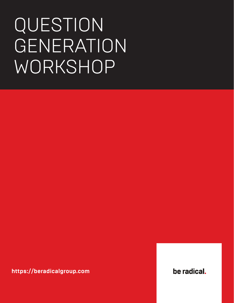# QUESTION GENERATION WORKSHOP

**https://beradicalgroup.com**

be radical.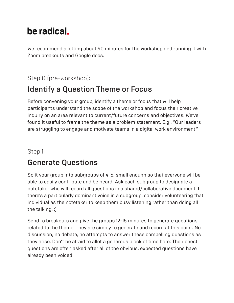# be radical.

We recommend allotting about 90 minutes for the workshop and running it with Zoom breakouts and Google docs.

#### Step 0 (pre-workshop):

## Identify a Question Theme or Focus

Before convening your group, identify a theme or focus that will help participants understand the scope of the workshop and focus their creative inquiry on an area relevant to current/future concerns and objectives. We've found it useful to frame the theme as a problem statement. E.g., "Our leaders are struggling to engage and motivate teams in a digital work environment."

#### Step 1:

## Generate Questions

Split your group into subgroups of 4-6, small enough so that everyone will be able to easily contribute and be heard. Ask each subgroup to designate a notetaker who will record all questions in a shared/collaborative document. If there's a particularly dominant voice in a subgroup, consider volunteering that individual as the notetaker to keep them busy listening rather than doing all the talking. ;)

Send to breakouts and give the groups 12-15 minutes to generate questions related to the theme. They are simply to generate and record at this point. No discussion, no debate, no attempts to answer these compelling questions as they arise. Don't be afraid to allot a generous block of time here: The richest questions are often asked after all of the obvious, expected questions have already been voiced.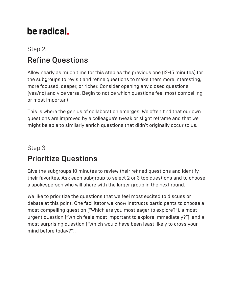# be radical.

Step 2:

## Refine Questions

Allow nearly as much time for this step as the previous one (12-15 minutes) for the subgroups to revisit and refine questions to make them more interesting, more focused, deeper, or richer. Consider opening any closed questions (yes/no) and vice versa. Begin to notice which questions feel most compelling or most important.

This is where the genius of collaboration emerges. We often find that our own questions are improved by a colleague's tweak or slight reframe and that we might be able to similarly enrich questions that didn't originally occur to us.

#### Step 3:

## Prioritize Questions

Give the subgroups 10 minutes to review their refined questions and identify their favorites. Ask each subgroup to select 2 or 3 top questions and to choose a spokesperson who will share with the larger group in the next round.

We like to prioritize the questions that we feel most excited to discuss or debate at this point. One facilitator we know instructs participants to choose a most compelling question ("Which are you most eager to explore?"), a most urgent question ("Which feels most important to explore immediately?"), and a most surprising question ("Which would have been least likely to cross your mind before today?").